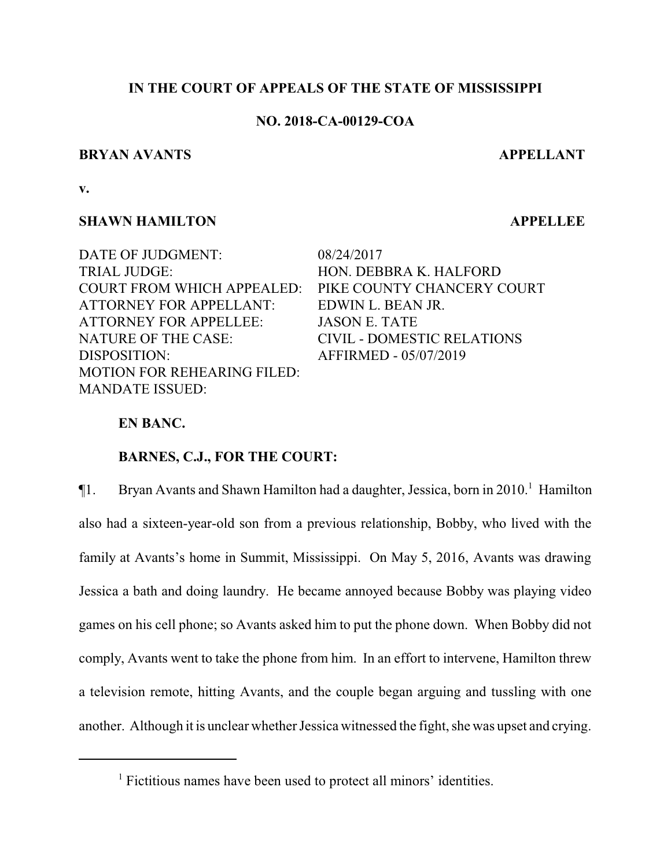# **IN THE COURT OF APPEALS OF THE STATE OF MISSISSIPPI**

# **NO. 2018-CA-00129-COA**

## **BRYAN AVANTS APPELLANT**

**v.**

# **SHAWN HAMILTON APPELLEE**

TRIAL JUDGE: HON. DEBBRA K. HALFORD COURT FROM WHICH APPEALED: PIKE COUNTY CHANCERY COURT ATTORNEY FOR APPELLANT: EDWIN L. BEAN JR. ATTORNEY FOR APPELLEE: JASON E. TATE NATURE OF THE CASE: CIVIL - DOMESTIC RELATIONS DISPOSITION: AFFIRMED - 05/07/2019 MOTION FOR REHEARING FILED: MANDATE ISSUED:

DATE OF JUDGMENT: 08/24/2017

# **EN BANC.**

# **BARNES, C.J., FOR THE COURT:**

 $\P$ 1. Bryan Avants and Shawn Hamilton had a daughter, Jessica, born in 2010.<sup>1</sup> Hamilton also had a sixteen-year-old son from a previous relationship, Bobby, who lived with the family at Avants's home in Summit, Mississippi. On May 5, 2016, Avants was drawing Jessica a bath and doing laundry. He became annoyed because Bobby was playing video games on his cell phone; so Avants asked him to put the phone down. When Bobby did not comply, Avants went to take the phone from him. In an effort to intervene, Hamilton threw a television remote, hitting Avants, and the couple began arguing and tussling with one another. Although it is unclear whether Jessica witnessed the fight, she was upset and crying.

<sup>&</sup>lt;sup>1</sup> Fictitious names have been used to protect all minors' identities.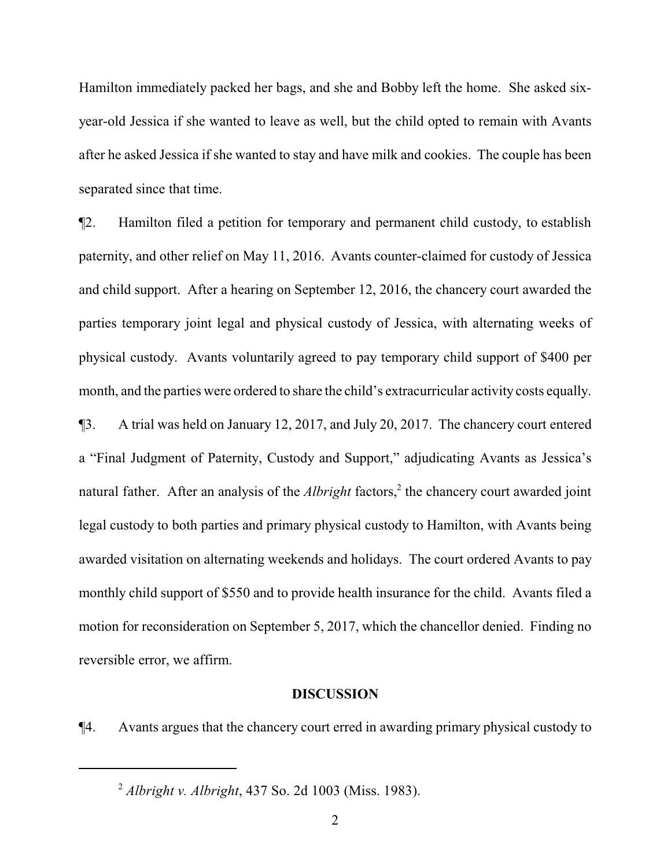Hamilton immediately packed her bags, and she and Bobby left the home. She asked sixyear-old Jessica if she wanted to leave as well, but the child opted to remain with Avants after he asked Jessica if she wanted to stay and have milk and cookies. The couple has been separated since that time.

¶2. Hamilton filed a petition for temporary and permanent child custody, to establish paternity, and other relief on May 11, 2016. Avants counter-claimed for custody of Jessica and child support. After a hearing on September 12, 2016, the chancery court awarded the parties temporary joint legal and physical custody of Jessica, with alternating weeks of physical custody. Avants voluntarily agreed to pay temporary child support of \$400 per month, and the parties were ordered to share the child's extracurricular activity costs equally.

¶3. A trial was held on January 12, 2017, and July 20, 2017. The chancery court entered a "Final Judgment of Paternity, Custody and Support," adjudicating Avants as Jessica's natural father. After an analysis of the *Albright* factors,<sup>2</sup> the chancery court awarded joint legal custody to both parties and primary physical custody to Hamilton, with Avants being awarded visitation on alternating weekends and holidays. The court ordered Avants to pay monthly child support of \$550 and to provide health insurance for the child. Avants filed a motion for reconsideration on September 5, 2017, which the chancellor denied. Finding no reversible error, we affirm.

#### **DISCUSSION**

¶4. Avants argues that the chancery court erred in awarding primary physical custody to

<sup>2</sup> *Albright v. Albright*, 437 So. 2d 1003 (Miss. 1983).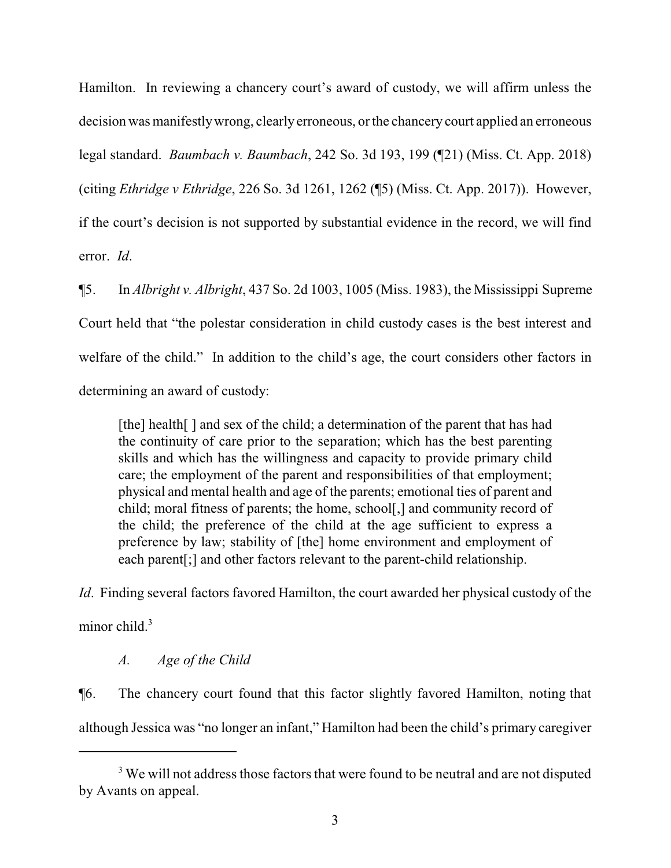Hamilton. In reviewing a chancery court's award of custody, we will affirm unless the decision was manifestlywrong, clearlyerroneous, or the chancery court applied an erroneous legal standard. *Baumbach v. Baumbach*, 242 So. 3d 193, 199 (¶21) (Miss. Ct. App. 2018) (citing *Ethridge v Ethridge*, 226 So. 3d 1261, 1262 (¶5) (Miss. Ct. App. 2017)). However, if the court's decision is not supported by substantial evidence in the record, we will find error. *Id*.

¶5. In *Albright v. Albright*, 437 So. 2d 1003, 1005 (Miss. 1983), the Mississippi Supreme Court held that "the polestar consideration in child custody cases is the best interest and welfare of the child." In addition to the child's age, the court considers other factors in determining an award of custody:

[the] health[] and sex of the child; a determination of the parent that has had the continuity of care prior to the separation; which has the best parenting skills and which has the willingness and capacity to provide primary child care; the employment of the parent and responsibilities of that employment; physical and mental health and age of the parents; emotional ties of parent and child; moral fitness of parents; the home, school[,] and community record of the child; the preference of the child at the age sufficient to express a preference by law; stability of [the] home environment and employment of each parent[;] and other factors relevant to the parent-child relationship.

*Id*. Finding several factors favored Hamilton, the court awarded her physical custody of the minor child.<sup>3</sup>

# *A. Age of the Child*

¶6. The chancery court found that this factor slightly favored Hamilton, noting that although Jessica was "no longer an infant," Hamilton had been the child's primary caregiver

<sup>&</sup>lt;sup>3</sup> We will not address those factors that were found to be neutral and are not disputed by Avants on appeal.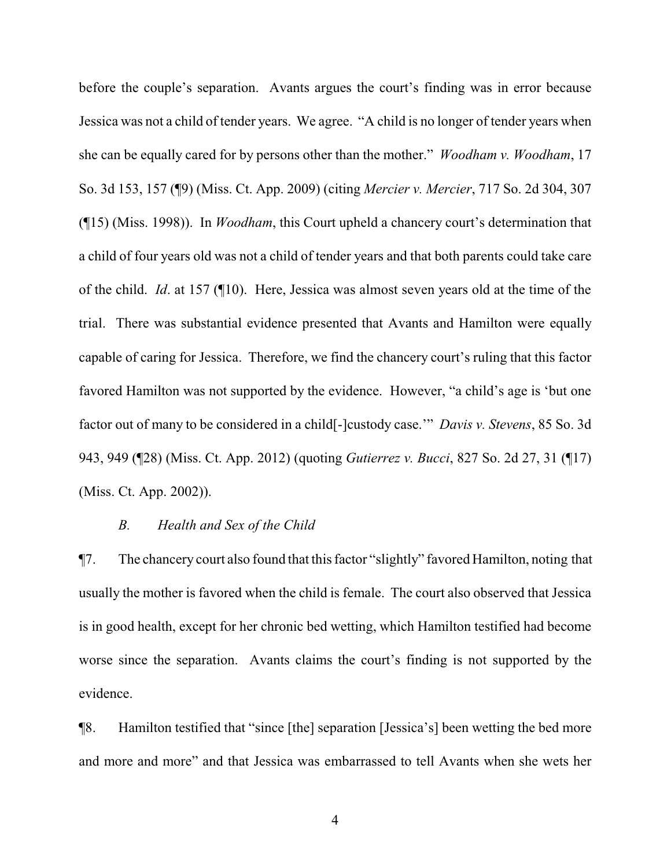before the couple's separation. Avants argues the court's finding was in error because Jessica was not a child of tender years. We agree. "A child is no longer of tender years when she can be equally cared for by persons other than the mother." *Woodham v. Woodham*, 17 So. 3d 153, 157 (¶9) (Miss. Ct. App. 2009) (citing *Mercier v. Mercier*, 717 So. 2d 304, 307 (¶15) (Miss. 1998)). In *Woodham*, this Court upheld a chancery court's determination that a child of four years old was not a child of tender years and that both parents could take care of the child. *Id*. at 157 (¶10). Here, Jessica was almost seven years old at the time of the trial. There was substantial evidence presented that Avants and Hamilton were equally capable of caring for Jessica. Therefore, we find the chancery court's ruling that this factor favored Hamilton was not supported by the evidence. However, "a child's age is 'but one factor out of many to be considered in a child[-]custody case.'" *Davis v. Stevens*, 85 So. 3d 943, 949 (¶28) (Miss. Ct. App. 2012) (quoting *Gutierrez v. Bucci*, 827 So. 2d 27, 31 (¶17) (Miss. Ct. App. 2002)).

## *B. Health and Sex of the Child*

¶7. The chancery court also found that this factor "slightly" favored Hamilton, noting that usually the mother is favored when the child is female. The court also observed that Jessica is in good health, except for her chronic bed wetting, which Hamilton testified had become worse since the separation. Avants claims the court's finding is not supported by the evidence.

¶8. Hamilton testified that "since [the] separation [Jessica's] been wetting the bed more and more and more" and that Jessica was embarrassed to tell Avants when she wets her

4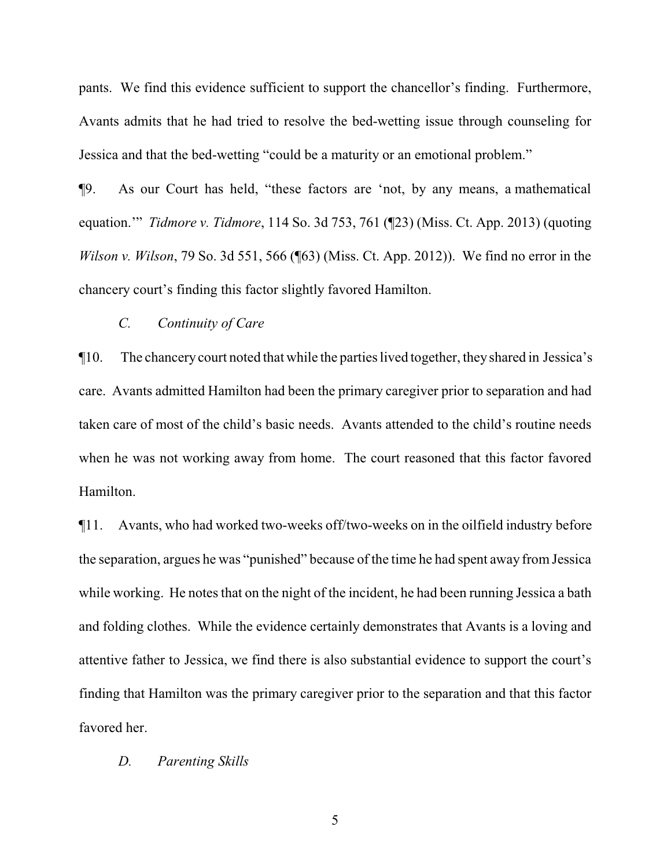pants. We find this evidence sufficient to support the chancellor's finding. Furthermore, Avants admits that he had tried to resolve the bed-wetting issue through counseling for Jessica and that the bed-wetting "could be a maturity or an emotional problem."

¶9. As our Court has held, "these factors are 'not, by any means, a mathematical equation.'" *Tidmore v. Tidmore*, 114 So. 3d 753, 761 (¶23) (Miss. Ct. App. 2013) (quoting *Wilson v. Wilson*, 79 So. 3d 551, 566 (¶63) (Miss. Ct. App. 2012)). We find no error in the chancery court's finding this factor slightly favored Hamilton.

## *C. Continuity of Care*

¶10. The chancery court noted that while the parties lived together, they shared in Jessica's care. Avants admitted Hamilton had been the primary caregiver prior to separation and had taken care of most of the child's basic needs. Avants attended to the child's routine needs when he was not working away from home. The court reasoned that this factor favored Hamilton.

¶11. Avants, who had worked two-weeks off/two-weeks on in the oilfield industry before the separation, argues he was "punished" because of the time he had spent away from Jessica while working. He notes that on the night of the incident, he had been running Jessica a bath and folding clothes. While the evidence certainly demonstrates that Avants is a loving and attentive father to Jessica, we find there is also substantial evidence to support the court's finding that Hamilton was the primary caregiver prior to the separation and that this factor favored her.

#### *D. Parenting Skills*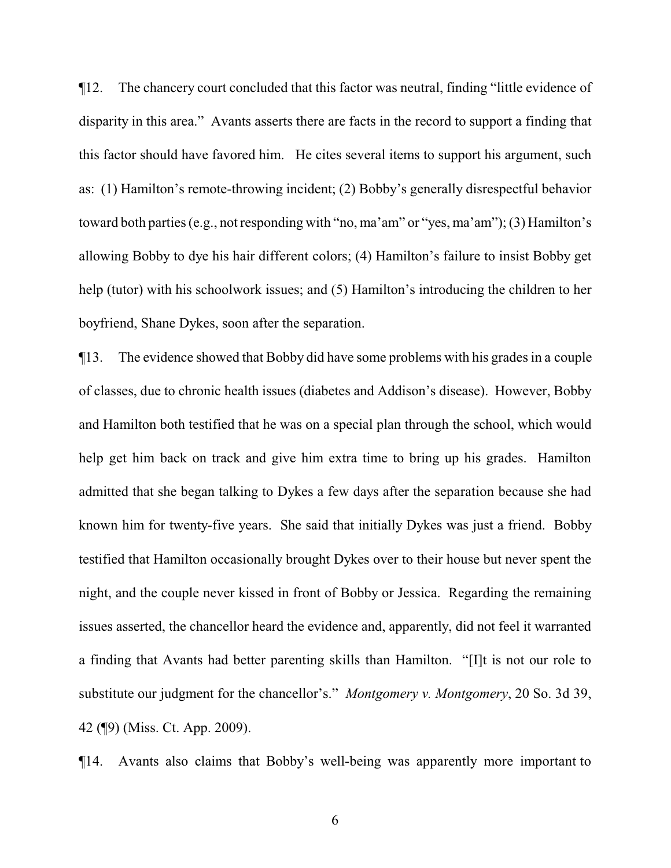¶12. The chancery court concluded that this factor was neutral, finding "little evidence of disparity in this area." Avants asserts there are facts in the record to support a finding that this factor should have favored him. He cites several items to support his argument, such as: (1) Hamilton's remote-throwing incident; (2) Bobby's generally disrespectful behavior toward both parties (e.g., not responding with "no, ma'am" or "yes, ma'am"); (3) Hamilton's allowing Bobby to dye his hair different colors; (4) Hamilton's failure to insist Bobby get help (tutor) with his schoolwork issues; and (5) Hamilton's introducing the children to her boyfriend, Shane Dykes, soon after the separation.

¶13. The evidence showed that Bobby did have some problems with his grades in a couple of classes, due to chronic health issues (diabetes and Addison's disease). However, Bobby and Hamilton both testified that he was on a special plan through the school, which would help get him back on track and give him extra time to bring up his grades. Hamilton admitted that she began talking to Dykes a few days after the separation because she had known him for twenty-five years. She said that initially Dykes was just a friend. Bobby testified that Hamilton occasionally brought Dykes over to their house but never spent the night, and the couple never kissed in front of Bobby or Jessica. Regarding the remaining issues asserted, the chancellor heard the evidence and, apparently, did not feel it warranted a finding that Avants had better parenting skills than Hamilton. "[I]t is not our role to substitute our judgment for the chancellor's." *Montgomery v. Montgomery*, 20 So. 3d 39, 42 (¶9) (Miss. Ct. App. 2009).

¶14. Avants also claims that Bobby's well-being was apparently more important to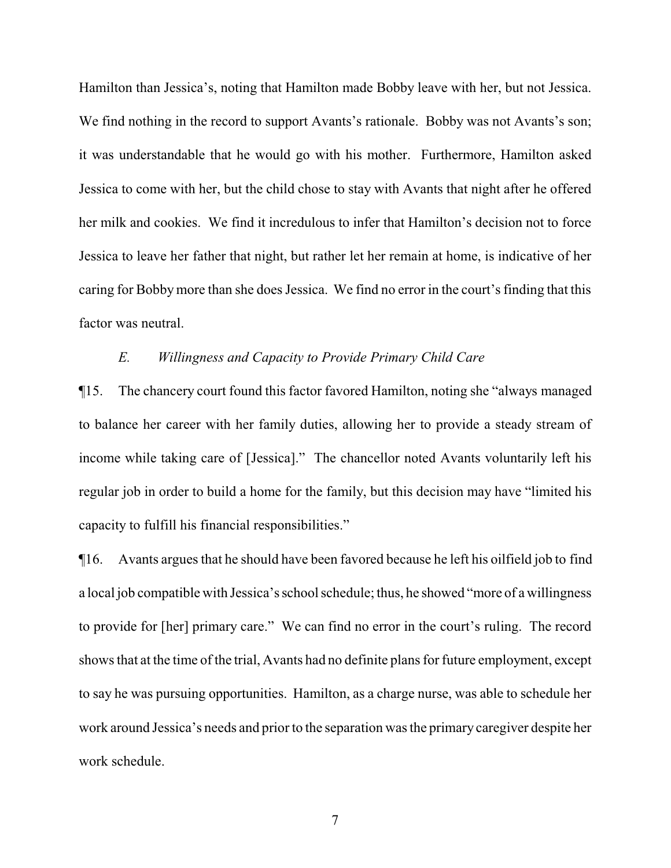Hamilton than Jessica's, noting that Hamilton made Bobby leave with her, but not Jessica. We find nothing in the record to support Avants's rationale. Bobby was not Avants's son; it was understandable that he would go with his mother. Furthermore, Hamilton asked Jessica to come with her, but the child chose to stay with Avants that night after he offered her milk and cookies. We find it incredulous to infer that Hamilton's decision not to force Jessica to leave her father that night, but rather let her remain at home, is indicative of her caring for Bobby more than she does Jessica. We find no error in the court's finding that this factor was neutral.

## *E. Willingness and Capacity to Provide Primary Child Care*

¶15. The chancery court found this factor favored Hamilton, noting she "always managed to balance her career with her family duties, allowing her to provide a steady stream of income while taking care of [Jessica]." The chancellor noted Avants voluntarily left his regular job in order to build a home for the family, but this decision may have "limited his capacity to fulfill his financial responsibilities."

¶16. Avants argues that he should have been favored because he left his oilfield job to find a local job compatible with Jessica's school schedule; thus, he showed "more of a willingness to provide for [her] primary care." We can find no error in the court's ruling. The record shows that at the time of the trial, Avants had no definite plans for future employment, except to say he was pursuing opportunities. Hamilton, as a charge nurse, was able to schedule her work around Jessica's needs and prior to the separation was the primary caregiver despite her work schedule.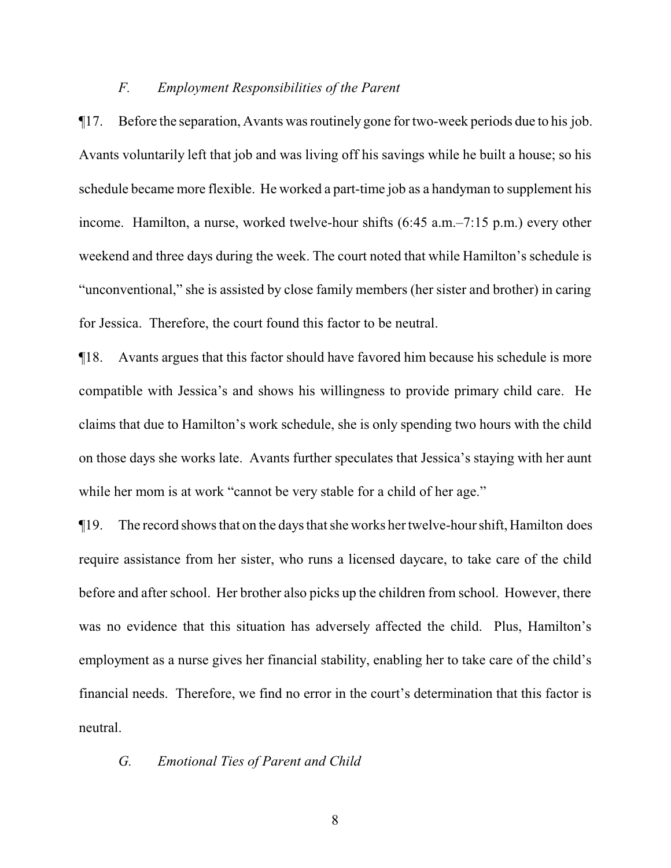#### *F. Employment Responsibilities of the Parent*

¶17. Before the separation, Avants was routinely gone for two-week periods due to his job. Avants voluntarily left that job and was living off his savings while he built a house; so his schedule became more flexible. He worked a part-time job as a handyman to supplement his income. Hamilton, a nurse, worked twelve-hour shifts (6:45 a.m.–7:15 p.m.) every other weekend and three days during the week. The court noted that while Hamilton's schedule is "unconventional," she is assisted by close family members (her sister and brother) in caring for Jessica. Therefore, the court found this factor to be neutral.

¶18. Avants argues that this factor should have favored him because his schedule is more compatible with Jessica's and shows his willingness to provide primary child care. He claims that due to Hamilton's work schedule, she is only spending two hours with the child on those days she works late. Avants further speculates that Jessica's staying with her aunt while her mom is at work "cannot be very stable for a child of her age."

¶19. The record shows that on the days that she works her twelve-hour shift, Hamilton does require assistance from her sister, who runs a licensed daycare, to take care of the child before and after school. Her brother also picks up the children from school. However, there was no evidence that this situation has adversely affected the child. Plus, Hamilton's employment as a nurse gives her financial stability, enabling her to take care of the child's financial needs. Therefore, we find no error in the court's determination that this factor is neutral.

## *G. Emotional Ties of Parent and Child*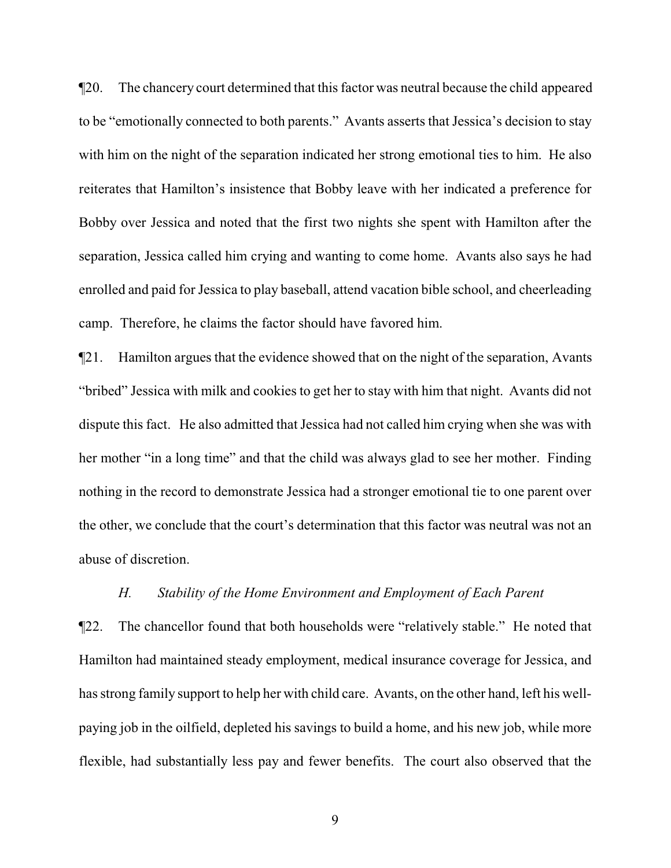¶20. The chancery court determined that this factor was neutral because the child appeared to be "emotionally connected to both parents." Avants asserts that Jessica's decision to stay with him on the night of the separation indicated her strong emotional ties to him. He also reiterates that Hamilton's insistence that Bobby leave with her indicated a preference for Bobby over Jessica and noted that the first two nights she spent with Hamilton after the separation, Jessica called him crying and wanting to come home. Avants also says he had enrolled and paid for Jessica to play baseball, attend vacation bible school, and cheerleading camp. Therefore, he claims the factor should have favored him.

¶21. Hamilton argues that the evidence showed that on the night of the separation, Avants "bribed" Jessica with milk and cookies to get her to stay with him that night. Avants did not dispute this fact. He also admitted that Jessica had not called him crying when she was with her mother "in a long time" and that the child was always glad to see her mother. Finding nothing in the record to demonstrate Jessica had a stronger emotional tie to one parent over the other, we conclude that the court's determination that this factor was neutral was not an abuse of discretion.

# *H. Stability of the Home Environment and Employment of Each Parent*

¶22. The chancellor found that both households were "relatively stable." He noted that Hamilton had maintained steady employment, medical insurance coverage for Jessica, and has strong family support to help her with child care. Avants, on the other hand, left his wellpaying job in the oilfield, depleted his savings to build a home, and his new job, while more flexible, had substantially less pay and fewer benefits. The court also observed that the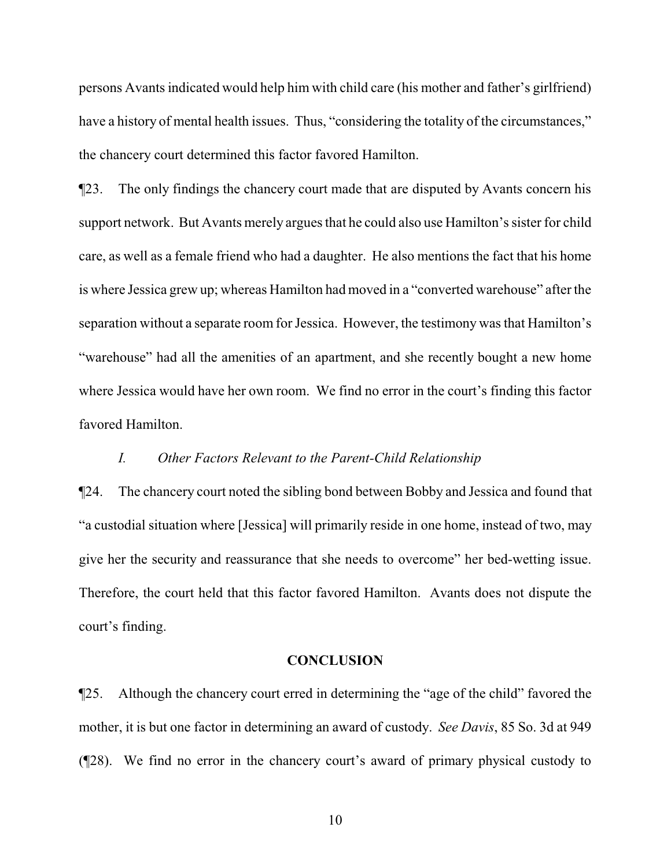persons Avants indicated would help him with child care (his mother and father's girlfriend) have a history of mental health issues. Thus, "considering the totality of the circumstances," the chancery court determined this factor favored Hamilton.

¶23. The only findings the chancery court made that are disputed by Avants concern his support network. But Avants merely argues that he could also use Hamilton's sister for child care, as well as a female friend who had a daughter. He also mentions the fact that his home is where Jessica grew up; whereas Hamilton had moved in a "converted warehouse" after the separation without a separate room for Jessica. However, the testimony was that Hamilton's "warehouse" had all the amenities of an apartment, and she recently bought a new home where Jessica would have her own room. We find no error in the court's finding this factor favored Hamilton.

## *I. Other Factors Relevant to the Parent-Child Relationship*

¶24. The chancery court noted the sibling bond between Bobby and Jessica and found that "a custodial situation where [Jessica] will primarily reside in one home, instead of two, may give her the security and reassurance that she needs to overcome" her bed-wetting issue. Therefore, the court held that this factor favored Hamilton. Avants does not dispute the court's finding.

### **CONCLUSION**

¶25. Although the chancery court erred in determining the "age of the child" favored the mother, it is but one factor in determining an award of custody. *See Davis*, 85 So. 3d at 949 (¶28). We find no error in the chancery court's award of primary physical custody to

10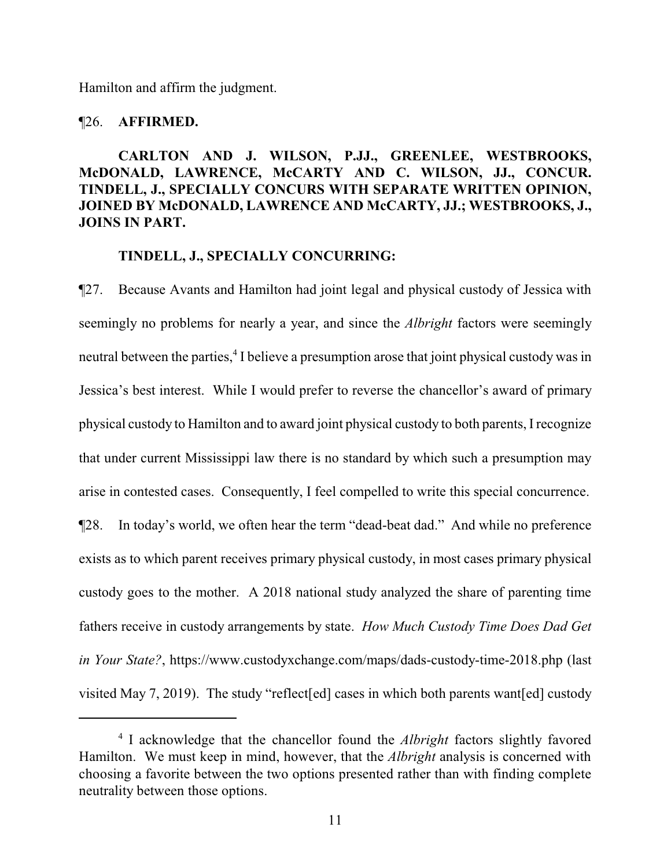Hamilton and affirm the judgment.

## ¶26. **AFFIRMED.**

# **CARLTON AND J. WILSON, P.JJ., GREENLEE, WESTBROOKS, McDONALD, LAWRENCE, McCARTY AND C. WILSON, JJ., CONCUR. TINDELL, J., SPECIALLY CONCURS WITH SEPARATE WRITTEN OPINION, JOINED BY McDONALD, LAWRENCE AND McCARTY, JJ.; WESTBROOKS, J., JOINS IN PART.**

## **TINDELL, J., SPECIALLY CONCURRING:**

¶27. Because Avants and Hamilton had joint legal and physical custody of Jessica with seemingly no problems for nearly a year, and since the *Albright* factors were seemingly neutral between the parties,<sup>4</sup> I believe a presumption arose that joint physical custody was in Jessica's best interest. While I would prefer to reverse the chancellor's award of primary physical custody to Hamilton and to award joint physical custody to both parents, I recognize that under current Mississippi law there is no standard by which such a presumption may arise in contested cases. Consequently, I feel compelled to write this special concurrence. ¶28. In today's world, we often hear the term "dead-beat dad." And while no preference exists as to which parent receives primary physical custody, in most cases primary physical custody goes to the mother. A 2018 national study analyzed the share of parenting time fathers receive in custody arrangements by state. *How Much Custody Time Does Dad Get in Your State?*, https://www.custodyxchange.com/maps/dads-custody-time-2018.php (last visited May 7, 2019). The study "reflect[ed] cases in which both parents want[ed] custody

<sup>4</sup> I acknowledge that the chancellor found the *Albright* factors slightly favored Hamilton. We must keep in mind, however, that the *Albright* analysis is concerned with choosing a favorite between the two options presented rather than with finding complete neutrality between those options.